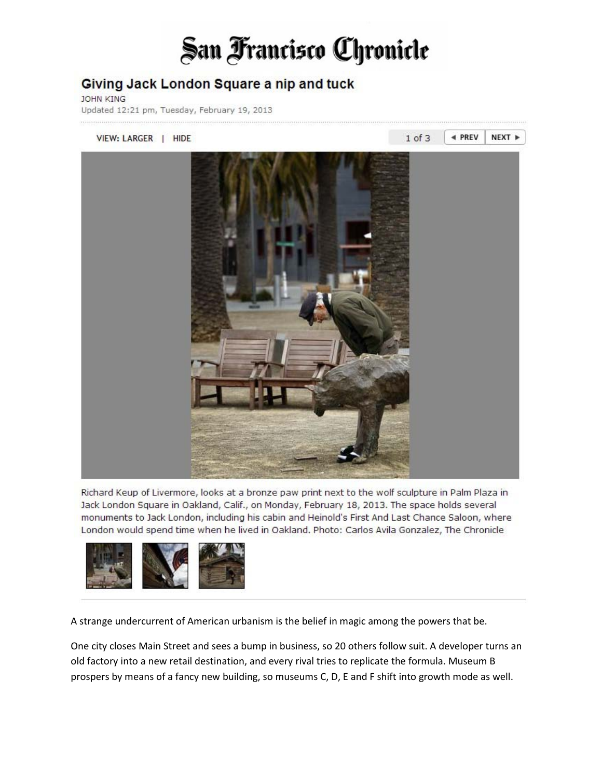## San Francisco Chronicle

## Giving Jack London Square a nip and tuck

**JOHN KING** 

Updated 12:21 pm, Tuesday, February 19, 2013



Richard Keup of Livermore, looks at a bronze paw print next to the wolf sculpture in Palm Plaza in Jack London Square in Oakland, Calif., on Monday, February 18, 2013. The space holds several monuments to Jack London, including his cabin and Heinold's First And Last Chance Saloon, where London would spend time when he lived in Oakland. Photo: Carlos Avila Gonzalez, The Chronicle



A strange undercurrent of American urbanism is the belief in magic among the powers that be.

One city closes Main Street and sees a bump in business, so 20 others follow suit. A developer turns an old factory into a new retail destination, and every rival tries to replicate the formula. Museum B prospers by means of a fancy new building, so museums C, D, E and F shift into growth mode as well.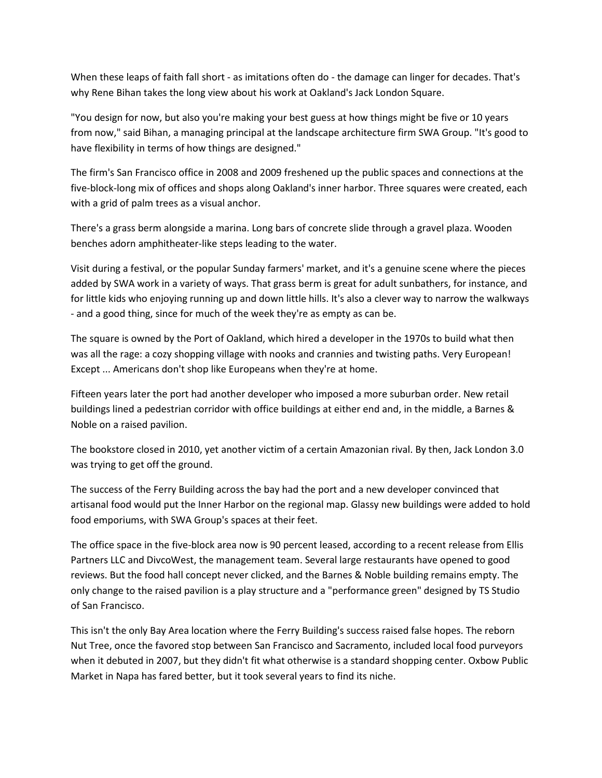When these leaps of faith fall short - as imitations often do - the damage can linger for decades. That's why Rene Bihan takes the long view about his work at Oakland's Jack London Square.

"You design for now, but also you're making your best guess at how things might be five or 10 years from now," said Bihan, a managing principal at the landscape architecture firm SWA Group. "It's good to have flexibility in terms of how things are designed."

The firm's San Francisco office in 2008 and 2009 freshened up the public spaces and connections at the five-block-long mix of offices and shops along Oakland's inner harbor. Three squares were created, each with a grid of palm trees as a visual anchor.

There's a grass berm alongside a marina. Long bars of concrete slide through a gravel plaza. Wooden benches adorn amphitheater-like steps leading to the water.

Visit during a festival, or the popular Sunday farmers' market, and it's a genuine scene where the pieces added by SWA work in a variety of ways. That grass berm is great for adult sunbathers, for instance, and for little kids who enjoying running up and down little hills. It's also a clever way to narrow the walkways - and a good thing, since for much of the week they're as empty as can be.

The square is owned by the Port of Oakland, which hired a developer in the 1970s to build what then was all the rage: a cozy shopping village with nooks and crannies and twisting paths. Very European! Except ... Americans don't shop like Europeans when they're at home.

Fifteen years later the port had another developer who imposed a more suburban order. New retail buildings lined a pedestrian corridor with office buildings at either end and, in the middle, a Barnes & Noble on a raised pavilion.

The bookstore closed in 2010, yet another victim of a certain Amazonian rival. By then, Jack London 3.0 was trying to get off the ground.

The success of the Ferry Building across the bay had the port and a new developer convinced that artisanal food would put the Inner Harbor on the regional map. Glassy new buildings were added to hold food emporiums, with SWA Group's spaces at their feet.

The office space in the five-block area now is 90 percent leased, according to a recent release from Ellis Partners LLC and DivcoWest, the management team. Several large restaurants have opened to good reviews. But the food hall concept never clicked, and the Barnes & Noble building remains empty. The only change to the raised pavilion is a play structure and a "performance green" designed by TS Studio of San Francisco.

This isn't the only Bay Area location where the Ferry Building's success raised false hopes. The reborn Nut Tree, once the favored stop between San Francisco and Sacramento, included local food purveyors when it debuted in 2007, but they didn't fit what otherwise is a standard shopping center. Oxbow Public Market in Napa has fared better, but it took several years to find its niche.